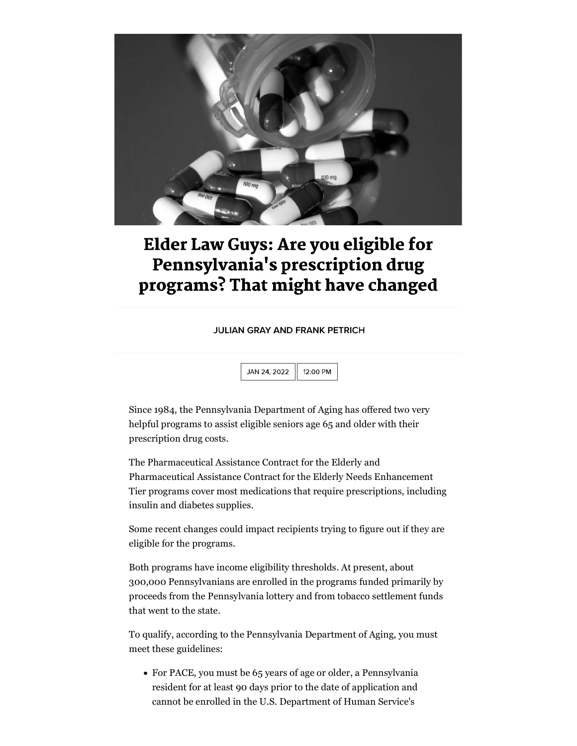

## **Elder Law Guys: Are you eligible for** Pennsylvania's prescription drug programs? That might have changed

**JULIAN GRAY AND FRANK PETRICH** 

JAN 24, 2022 12:00 PM

Since 1984, the Pennsylvania Department of Aging has offered two very helpful programs to assist eligible seniors age 65 and older with their prescription drug costs.

The Pharmaceutical Assistance Contract for the Elderly and Pharmaceutical Assistance Contract for the Elderly Needs Enhancement Tier programs cover most medications that require prescriptions, including insulin and diabetes supplies.

Some recent changes could impact recipients trying to figure out if they are eligible for the programs.

Both programs have income eligibility thresholds. At present, about 300,000 Pennsylvanians are enrolled in the programs funded primarily by proceeds from the Pennsylvania lottery and from tobacco settlement funds that went to the state.

To qualify, according to the Pennsylvania Department of Aging, you must meet these guidelines:

For PACE, you must be 65 years of age or older, a Pennsylvania resident for at least 90 days prior to the date of application and cannot be enrolled in the U.S. Department of Human Service's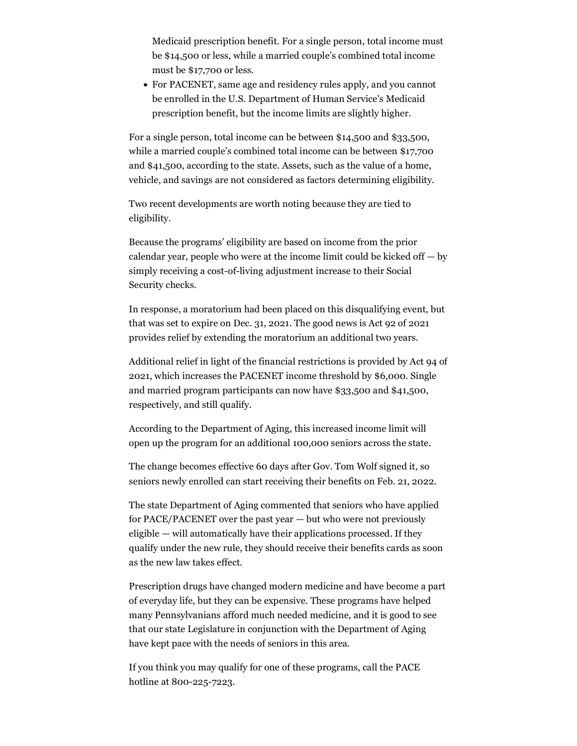Medicaid prescription benefit. For a single person, total income must be \$14,500 or less, while a married couple's combined total income must be \$17,700 or less.

For PACENET, same age and residency rules apply, and you cannot be enrolled in the U.S. Department of Human Service's Medicaid prescription benefit, but the income limits are slightly higher.

For a single person, total income can be between \$14,500 and \$33,500, while a married couple's combined total income can be between \$17,700 and \$41,500, according to the state. Assets, such as the value of a home, vehicle, and savings are not considered as factors determining eligibility.

Two recent developments are worth noting because they are tied to eligibility.

Because the programs' eligibility are based on income from the prior calendar year, people who were at the income limit could be kicked off  $-$  by simply receiving a cost-of-living adjustment increase to their Social Security checks.

In response, a moratorium had been placed on this disqualifying event, but that was set to expire on Dec. 31, 2021. The good news is Act 92 of 2021 provides relief by extending the moratorium an additional two years.

Additional relief in light of the financial restrictions is provided by Act 94 of 2021, which increases the PACENET income threshold by \$6,000. Single and married program participants can now have \$33,500 and \$41,500, respectively, and still qualify.

According to the Department of Aging, this increased income limit will open up the program for an additional 100,000 seniors across the state.

The change becomes effective 60 days after Gov. Tom Wolf signed it, so seniors newly enrolled can start receiving their benefits on Feb. 21, 2022.

The state Department of Aging commented that seniors who have applied for PACE/PACENET over the past year — but who were not previously eligible — will automatically have their applications processed. If they qualify under the new rule, they should receive their benefits cards as soon as the new law takes effect.

Prescription drugs have changed modern medicine and have become a part of everyday life, but they can be expensive. These programs have helped many Pennsylvanians afford much needed medicine, and it is good to see that our state Legislature in conjunction with the Department of Aging have kept pace with the needs of seniors in this area.

If you think you may qualify for one of these programs, call the PACE hotline at 800-225-7223.